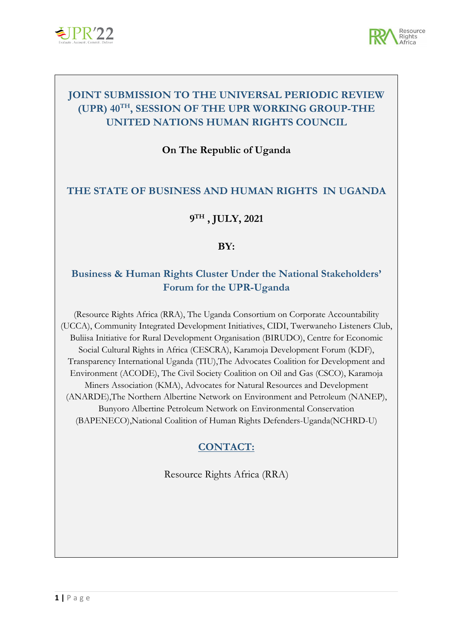



# **JOINT SUBMISSION TO THE UNIVERSAL PERIODIC REVIEW (UPR) <sup>40</sup>TH , SESSION OF THE UPR WORKING GROUP-THE UNITED NATIONS HUMAN RIGHTS COUNCIL**

**On The Republic of Uganda**

#### **THE STATE OF BUSINESS AND HUMAN RIGHTS IN UGANDA**

## **9TH , JULY, 2021**

#### **BY:**

## **Business & Human Rights Cluster Under the National Stakeholders' Forum for the UPR-Uganda**

(Resource Rights Africa (RRA), The Uganda Consortium on Corporate Accountability (UCCA), Community Integrated Development Initiatives, CIDI, Twerwaneho Listeners Club, Buliisa Initiative for Rural Development Organisation (BIRUDO), Centre for Economic Social Cultural Rights in Africa (CESCRA), Karamoja Development Forum (KDF), Transparency International Uganda (TIU),The Advocates Coalition for Development and Environment (ACODE), The Civil Society Coalition on Oil and Gas (CSCO), Karamoja Miners Association (KMA), Advocates for Natural Resources and Development (ANARDE),The Northern Albertine Network on Environment and Petroleum (NANEP), Bunyoro Albertine Petroleum Network on Environmental Conservation (BAPENECO),National Coalition of Human Rights Defenders-Uganda(NCHRD-U)

#### **CONTACT:**

Resource Rights Africa (RRA)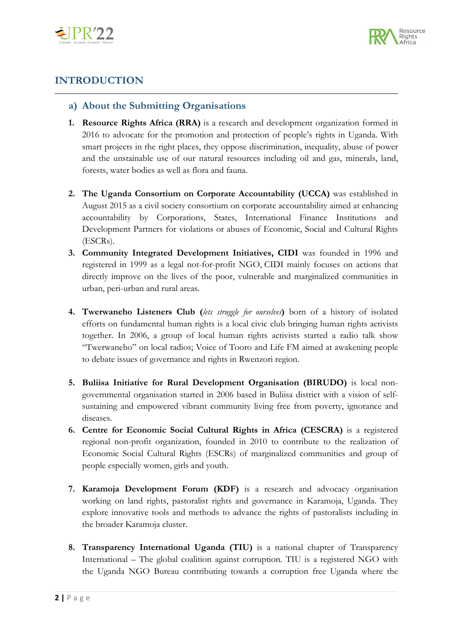



# **INTRODUCTION**

#### **a) About the Submitting Organisations**

- **1. Resource Rights Africa (RRA)** is <sup>a</sup> research and development organization formed in 2016 to advocate for the promotion and protection of people'<sup>s</sup> rights in Uganda. With smart projects in the right places, they oppose discrimination, inequality, abuse of power and the unstainable use of our natural resources including oil and gas, minerals, land, forests, water bodies as well as flora and fauna.
- **2. The Uganda Consortium on Corporate Accountability (UCCA)** was established in August 2015 as <sup>a</sup> civil society consortium on corporate accountability aimed at enhancing accountability by Corporations, States, International Finance Institutions and Development Partners for violations or abuses of Economic, Social and Cultural Rights (ESCRs).
- **3. Community Integrated Development Initiatives, CIDI** was founded in 1996 and registered in 1999 as <sup>a</sup> legal not-for-profit NGO, CIDI mainly focuses on actions that directly improve on the lives of the poor, vulnerable and marginalized communities in urban, peri-urban and rural areas.
- **4. Twerwaneho Listeners Club (***lets struggle for ourselves***)** born of <sup>a</sup> history of isolated efforts on fundamental human rights is <sup>a</sup> local civic club bringing human rights activists together. In 2006, <sup>a</sup> group of local human rights activists started <sup>a</sup> radio talk show "Twerwaneho" on local radios; Voice of Tooro and Life FM aimed at awakening people to debate issues of governance and rights in Rwenzori region.
- **5. Buliisa Initiative for Rural Development Organisation (BIRUDO)** is local nongovernmental organisation started in 2006 based in Buliisa district with <sup>a</sup> vision of selfsustaining and empowered vibrant community living free from poverty, ignorance and diseases.
- **6. Centre for Economic Social Cultural Rights in Africa (CESCRA)** is <sup>a</sup> registered regional non-profit organization, founded in 2010 to contribute to the realization of Economic Social Cultural Rights (ESCRs) of marginalized communities and group of people especially women, girls and youth.
- **7. Karamoja Development Forum (KDF)** is <sup>a</sup> research and advocacy organisation working on land rights, pastoralist rights and governance in Karamoja, Uganda. They explore innovative tools and methods to advance the rights of pastoralists including in the broader Karamoja cluster.
- **8. Transparency International Uganda (TIU)** is <sup>a</sup> national chapter of Transparency International – The global coalition against corruption. TIU is <sup>a</sup> registered NGO with the Uganda NGO Bureau contributing towards <sup>a</sup> corruption free Uganda where the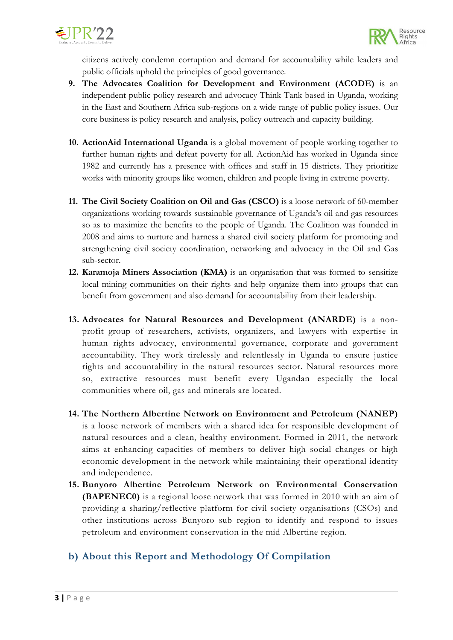



citizens actively condemn corruption and demand for accountability while leaders and public officials uphold the principles of good governance.

- **9. The Advocates Coalition for Development and Environment (ACODE)** is an independent public policy research and advocacy Think Tank based in Uganda, working in the East and Southern Africa sub-regions on <sup>a</sup> wide range of public policy issues. Our core business is policy research and analysis, policy outreach and capacity building.
- **10. ActionAid International Uganda** is <sup>a</sup> global movement of people working together to further human rights and defeat poverty for all. ActionAid has worked in Uganda since 1982 and currently has <sup>a</sup> presence with offices and staff in 15 districts. They prioritize works with minority groups like women, children and people living in extreme poverty.
- **11. The Civil Society Coalition on Oil and Gas (CSCO)** is <sup>a</sup> loose network of 60-member organizations working towards sustainable governance of Uganda'<sup>s</sup> oil and gas resources so as to maximize the benefits to the people of Uganda. The Coalition was founded in 2008 and aims to nurture and harness <sup>a</sup> shared civil society platform for promoting and strengthening civil society coordination, networking and advocacy in the Oil and Gas sub-sector.
- **12. Karamoja Miners Association (KMA)** is an organisation that was formed to sensitize local mining communities on their rights and help organize them into groups that can benefit from government and also demand for accountability from their leadership.
- **13. Advocates for Natural Resources and Development (ANARDE)** is <sup>a</sup> nonprofit group of researchers, activists, organizers, and lawyers with expertise in human rights advocacy, environmental governance, corporate and government accountability. They work tirelessly and relentlessly in Uganda to ensure justice rights and accountability in the natural resources sector. Natural resources more so, extractive resources must benefit every Ugandan especially the local communities where oil, gas and minerals are located.
- **14. The Northern Albertine Network on Environment and Petroleum (NANEP)** is <sup>a</sup> loose network of members with <sup>a</sup> shared idea for responsible development of natural resources and <sup>a</sup> clean, healthy environment. Formed in 2011, the network aims at enhancing capacities of members to deliver high social changes or high economic development in the network while maintaining their operational identity and independence.
- **15. Bunyoro Albertine Petroleum Network on Environmental Conservation (BAPENEC0)** is <sup>a</sup> regional loose network that was formed in 2010 with an aim of providing <sup>a</sup> sharing/reflective platform for civil society organisations (CSOs) and other institutions across Bunyoro sub region to identify and respond to issues petroleum and environment conservation in the mid Albertine region.

# **b) About this Report and Methodology Of Compilation**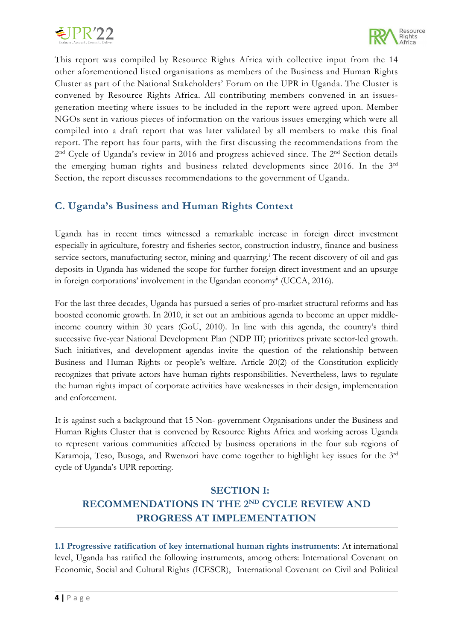



This report was compiled by Resource Rights Africa with collective input from the 14 other aforementioned listed organisations as members of the Business and Human Rights Cluster as part of the National Stakeholders' Forum on the UPR in Uganda. The Cluster is convened by Resource Rights Africa. All contributing members convened in an issuesgeneration meeting where issues to be included in the report were agreed upon. Member NGOs sent in various pieces of information on the various issues emerging which were all compiled into <sup>a</sup> draft report that was later validated by all members to make this final report. The report has four parts, with the first discussing the recommendations from the 2<sup>nd</sup> Cycle of Uganda's review in 2016 and progress achieved since. The 2<sup>nd</sup> Section details the emerging human rights and business related developments since 2016. In the <sup>3</sup>rd Section, the report discusses recommendations to the government of Uganda.

## **C. Uganda'<sup>s</sup> Business and Human Rights Context**

Uganda has in recent times witnessed <sup>a</sup> remarkable increase in foreign direct investment especially in agriculture, forestry and fisheries sector, construction industry, finance and business service sectors, manufacturing sector, mining and quarrying. i The recent discovery of oil and gas deposits in Uganda has widened the scope for further foreign direct investment and an upsurge in foreign corporations' involvement in the Ugandan economy<sup>ii</sup> (UCCA, 2016).

For the last three decades, Uganda has pursued <sup>a</sup> series of pro-market structural reforms and has boosted economic growth. In 2010, it set out an ambitious agenda to become an upper middleincome country within 30 years (GoU, 2010). In line with this agenda, the country'<sup>s</sup> third successive five-year National Development Plan (NDP III) prioritizes private sector-led growth. Such initiatives, and development agendas invite the question of the relationship between Business and Human Rights or people'<sup>s</sup> welfare. Article 20(2) of the Constitution explicitly recognizes that private actors have human rights responsibilities. Nevertheless, laws to regulate the human rights impact of corporate activities have weaknesses in their design, implementation and enforcement.

It is against such <sup>a</sup> background that 15 Non- government Organisations under the Business and Human Rights Cluster that is convened by Resource Rights Africa and working across Uganda to represent various communities affected by business operations in the four sub regions of Karamoja, Teso, Busoga, and Rwenzori have come together to highlight key issues for the <sup>3</sup>rd cycle of Uganda'<sup>s</sup> UPR reporting.

# **SECTION I: RECOMMENDATIONS IN THE 2ND CYCLE REVIEW AND PROGRESS AT IMPLEMENTATION**

**1.1 Progressive ratification of key international human rights instruments**: At international level, Uganda has ratified the following instruments, among others: International Covenant on Economic, Social and Cultural Rights (ICESCR), International Covenant on Civil and Political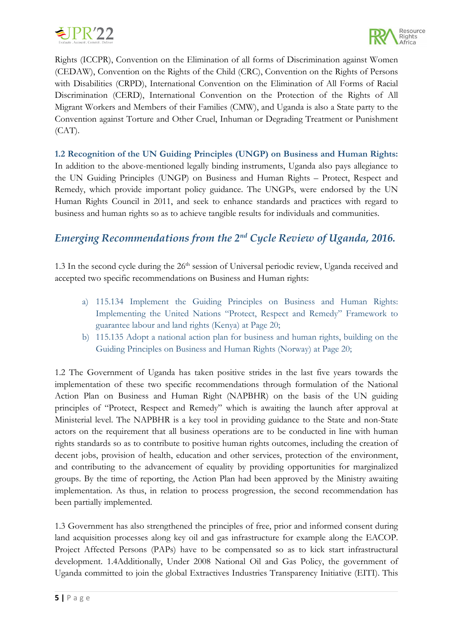



Rights (ICCPR), Convention on the Elimination of all forms of Discrimination against Women (CEDAW), Convention on the Rights of the Child (CRC), Convention on the Rights of Persons with Disabilities (CRPD), International Convention on the Elimination of All Forms of Racial Discrimination (CERD), International Convention on the Protection of the Rights of All Migrant Workers and Members of their Families (CMW), and Uganda is also <sup>a</sup> State party to the Convention against Torture and Other Cruel, Inhuman or Degrading Treatment or Punishment  $(CAT)$ .

**1.2 Recognition of the UN Guiding Principles (UNGP) on Business and Human Rights:** In addition to the above-mentioned legally binding instruments, Uganda also pays allegiance to the UN Guiding Principles (UNGP) on Business and Human Rights – Protect, Respect and Remedy, which provide important policy guidance. The UNGPs, were endorsed by the UN Human Rights Council in 2011, and seek to enhance standards and practices with regard to business and human rights so as to achieve tangible results for individuals and communities.

# *Emerging Recommendations from the <sup>2</sup>nd Cycle Review of Uganda, 2016.*

1.3 In the second cycle during the  $26^{\text{th}}$  session of Universal periodic review, Uganda received and accepted two specific recommendations on Business and Human rights:

- a) 115.134 Implement the Guiding Principles on Business and Human Rights: Implementing the United Nations "Protect, Respect and Remedy" Framework to guarantee labour and land rights (Kenya) at Page 20;
- b) 115.135 Adopt <sup>a</sup> national action plan for business and human rights, building on the Guiding Principles on Business and Human Rights (Norway) at Page 20;

1.2 The Government of Uganda has taken positive strides in the last five years towards the implementation of these two specific recommendations through formulation of the National Action Plan on Business and Human Right (NAPBHR) on the basis of the UN guiding principles of "Protect, Respect and Remedy" which is awaiting the launch after approval at Ministerial level. The NAPBHR is <sup>a</sup> key tool in providing guidance to the State and non-State actors on the requirement that all business operations are to be conducted in line with human rights standards so as to contribute to positive human rights outcomes, including the creation of decent jobs, provision of health, education and other services, protection of the environment, and contributing to the advancement of equality by providing opportunities for marginalized groups. By the time of reporting, the Action Plan had been approved by the Ministry awaiting implementation. As thus, in relation to process progression, the second recommendation has been partially implemented.

1.3 Government has also strengthened the principles of free, prior and informed consent during land acquisition processes along key oil and gas infrastructure for example along the EACOP. Project Affected Persons (PAPs) have to be compensated so as to kick start infrastructural development. 1.4Additionally, Under 2008 National Oil and Gas Policy, the government of Uganda committed to join the global Extractives Industries Transparency Initiative (EITI). This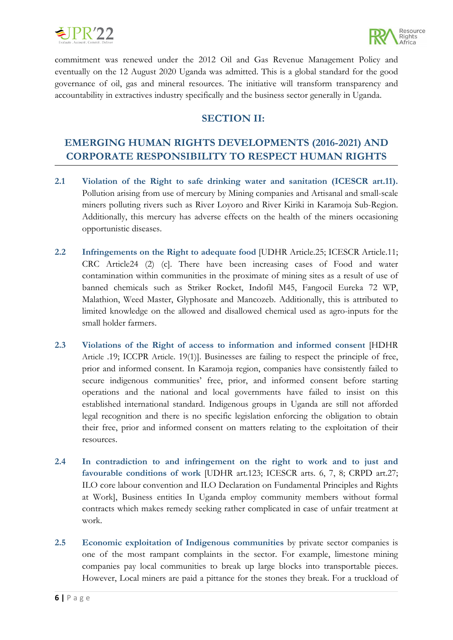



commitment was renewed under the 2012 Oil and Gas Revenue Management Policy and eventually on the <sup>12</sup> August 2020 Uganda was admitted. This is <sup>a</sup> global standard for the good governance of oil, gas and mineral resources. The initiative will transform transparency and accountability in extractives industry specifically and the business sector generally in Uganda.

#### **SECTION II:**

# **EMERGING HUMAN RIGHTS DEVELOPMENTS (2016-2021) AND CORPORATE RESPONSIBILITY TO RESPECT HUMAN RIGHTS**

- **2.1 Violation of the Right to safe drinking water and sanitation (ICESCR art.11).** Pollution arising from use of mercury by Mining companies and Artisanal and small-scale miners polluting rivers such as River Loyoro and River Kiriki in Karamoja Sub-Region. Additionally, this mercury has adverse effects on the health of the miners occasioning opportunistic diseases.
- **2.2 Infringements on the Right to adequate food** [UDHR Article.25; ICESCR Article.11; CRC Article24 (2) (c]. There have been increasing cases of Food and water contamination within communities in the proximate of mining sites as <sup>a</sup> result of use of banned chemicals such as Striker Rocket, Indofil M45, Fangocil Eureka 72 WP, Malathion, Weed Master, Glyphosate and Mancozeb. Additionally, this is attributed to limited knowledge on the allowed and disallowed chemical used as agro-inputs for the small holder farmers.
- **2.3 Violations of the Right of access to information and informed consent** [HDHR Article .19; ICCPR Article. 19(1)]. Businesses are failing to respect the principle of free, prior and informed consent. In Karamoja region, companies have consistently failed to secure indigenous communities' free, prior, and informed consent before starting operations and the national and local governments have failed to insist on this established international standard. Indigenous groups in Uganda are still not afforded legal recognition and there is no specific legislation enforcing the obligation to obtain their free, prior and informed consent on matters relating to the exploitation of their resources.
- **2.4 In contradiction to and infringement on the right to work and to just and favourable conditions of work** [UDHR art.123; ICESCR arts. 6, 7, 8; CRPD art.27; ILO core labour convention and ILO Declaration on Fundamental Principles and Rights at Work], Business entities In Uganda employ community members without formal contracts which makes remedy seeking rather complicated in case of unfair treatment at work.
- **2.5 Economic exploitation of Indigenous communities** by private sector companies is one of the most rampant complaints in the sector. For example, limestone mining companies pay local communities to break up large blocks into transportable pieces. However, Local miners are paid <sup>a</sup> pittance for the stones they break. For <sup>a</sup> truckload of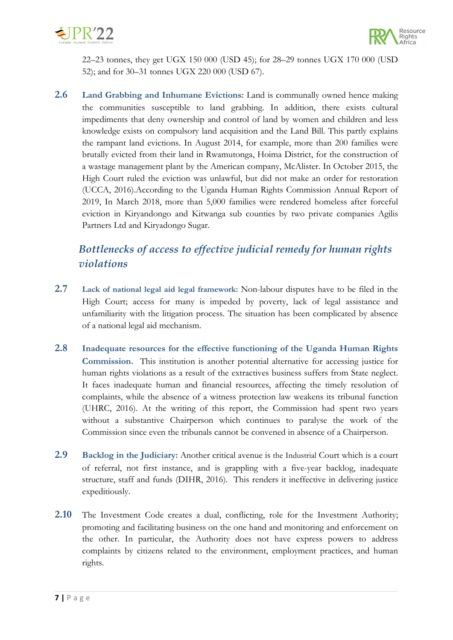



<sup>22</sup>–23 tonnes, they ge<sup>t</sup> UGX 150 000 (USD 45); for 28–29 tonnes UGX 170 000 (USD 52); and for 30–31 tonnes UGX 220 000 (USD 67).

**2.6 Land Grabbing and Inhumane Evictions:** Land is communally owned hence making the communities susceptible to land grabbing. In addition, there exists cultural impediments that deny ownership and control of land by women and children and less knowledge exists on compulsory land acquisition and the Land Bill. This partly explains the rampant land evictions. In August 2014, for example, more than 200 families were brutally evicted from their land in Rwamutonga, Hoima District, for the construction of <sup>a</sup> wastage management plant by the American company, McAlister. In October 2015, the High Court ruled the eviction was unlawful, but did not make an order for restoration (UCCA, 2016).According to the Uganda Human Rights Commission Annual Report of 2019, In March 2018, more than 5,000 families were rendered homeless after forceful eviction in Kiryandongo and Kitwanga sub counties by two private companies Agilis Partners Ltd and Kiryadongo Sugar.

# *Bottlenecks of access to effective judicial remedy for human rights violations*

- **2.7 Lack of national legal aid legal framework:** Non-labour disputes have to be filed in the High Court; access for many is impeded by poverty, lack of legal assistance and unfamiliarity with the litigation process. The situation has been complicated by absence of <sup>a</sup> national legal aid mechanism.
- **2.8 Inadequate resources for the effective functioning of the Uganda Human Rights Commission.** This institution is another potential alternative for accessing justice for human rights violations as <sup>a</sup> result of the extractives business suffers from State neglect. It faces inadequate human and financial resources, affecting the timely resolution of complaints, while the absence of <sup>a</sup> witness protection law weakens its tribunal function (UHRC, 2016). At the writing of this report, the Commission had spent two years without <sup>a</sup> substantive Chairperson which continues to paralyse the work of the Commission since even the tribunals cannot be convened in absence of <sup>a</sup> Chairperson.
- **2.9 Backlog in the Judiciary:** Another critical avenue is the Industrial Court which is <sup>a</sup> court of referral, not first instance, and is grappling with <sup>a</sup> five-year backlog, inadequate structure, staff and funds (DIHR, 2016). This renders it ineffective in delivering justice expeditiously.
- **2.10** The Investment Code creates <sup>a</sup> dual, conflicting, role for the Investment Authority; promoting and facilitating business on the one hand and monitoring and enforcement on the other. In particular, the Authority does not have express powers to address complaints by citizens related to the environment, employment practices, and human rights.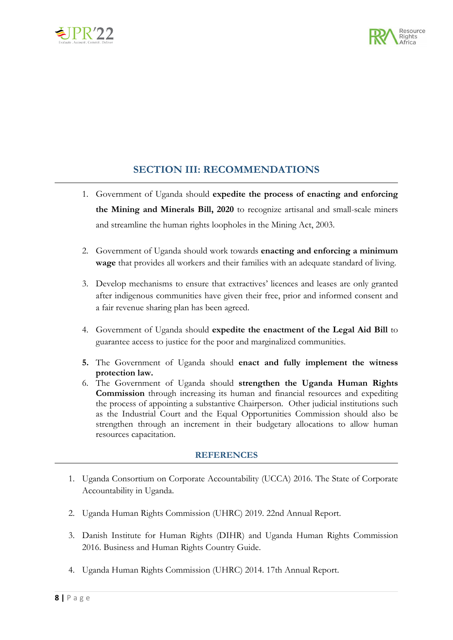



#### **SECTION III: RECOMMENDATIONS**

- 1. Government of Uganda should **expedite the process of enacting and enforcing the Mining and Minerals Bill, 2020** to recognize artisanal and small-scale miners and streamline the human rights loopholes in the Mining Act, 2003.
- 2. Government of Uganda should work towards **enacting and enforcing <sup>a</sup> minimum wage** that provides all workers and their families with an adequate standard of living.
- 3. Develop mechanisms to ensure that extractives' licences and leases are only granted after indigenous communities have given their free, prior and informed consent and <sup>a</sup> fair revenue sharing plan has been agreed.
- 4. Government of Uganda should **expedite the enactment of the Legal Aid Bill** to guarantee access to justice for the poor and marginalized communities.
- **5.** The Government of Uganda should **enact and fully implement the witness protection law.**
- 6. The Government of Uganda should **strengthen the Uganda Human Rights Commission** through increasing its human and financial resources and expediting the process of appointing <sup>a</sup> substantive Chairperson. Other judicial institutions such as the Industrial Court and the Equal Opportunities Commission should also be strengthen through an increment in their budgetary allocations to allow human resources capacitation.

#### **REFERENCES**

- 1. Uganda Consortium on Corporate Accountability (UCCA) 2016. The State of Corporate Accountability in Uganda.
- 2. Uganda Human Rights Commission (UHRC) 2019. 22nd Annual Report.
- 3. Danish Institute for Human Rights (DIHR) and Uganda Human Rights Commission 2016. Business and Human Rights Country Guide.
- 4. Uganda Human Rights Commission (UHRC) 2014. 17th Annual Report.